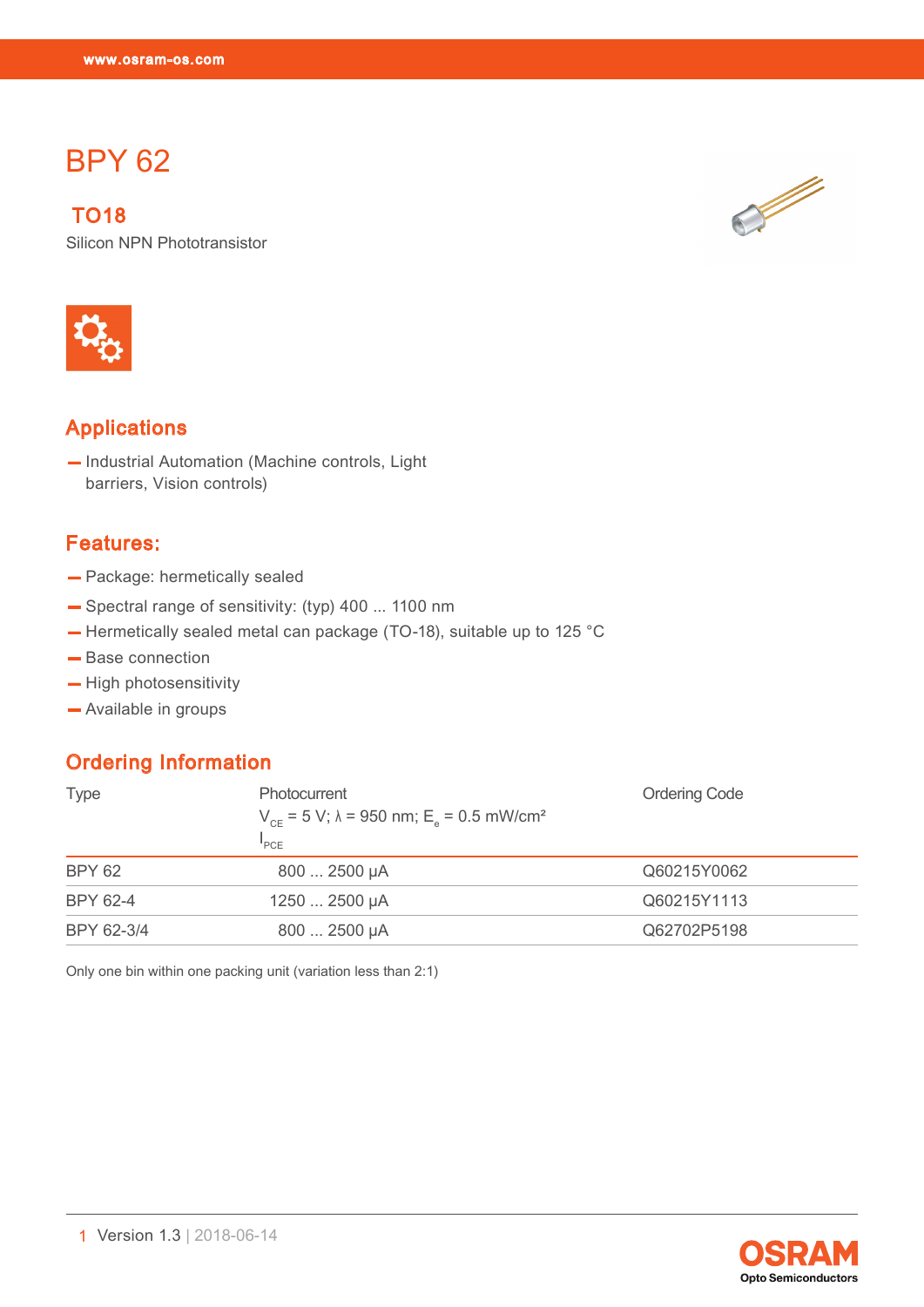# BPY 62

BPY 62 (1991)<br>BPY 62 (1991)<br>BPY 62 (1991)

 TO18 Silicon NPN Phototransistor



## Applications

— Industrial Automation (Machine controls, Light barriers, Vision controls)

### Features:

- Package: hermetically sealed
- Spectral range of sensitivity: (typ) 400 ... 1100 nm
- Hermetically sealed metal can package (TO-18), suitable up to 125 °C
- Base connection
- High photosensitivity
- Available in groups

### Ordering Information

| <b>Type</b>   | Photocurrent<br>$V_{CF}$ = 5 V; $\lambda$ = 950 nm; E <sub>e</sub> = 0.5 mW/cm <sup>2</sup><br>"PCE | <b>Ordering Code</b> |
|---------------|-----------------------------------------------------------------------------------------------------|----------------------|
| <b>BPY 62</b> | 800  2500 µA                                                                                        | Q60215Y0062          |
| BPY 62-4      | 1250  2500 µA                                                                                       | Q60215Y1113          |
| BPY 62-3/4    | 800  2500 µA                                                                                        | Q62702P5198          |

Only one bin within one packing unit (variation less than 2:1)



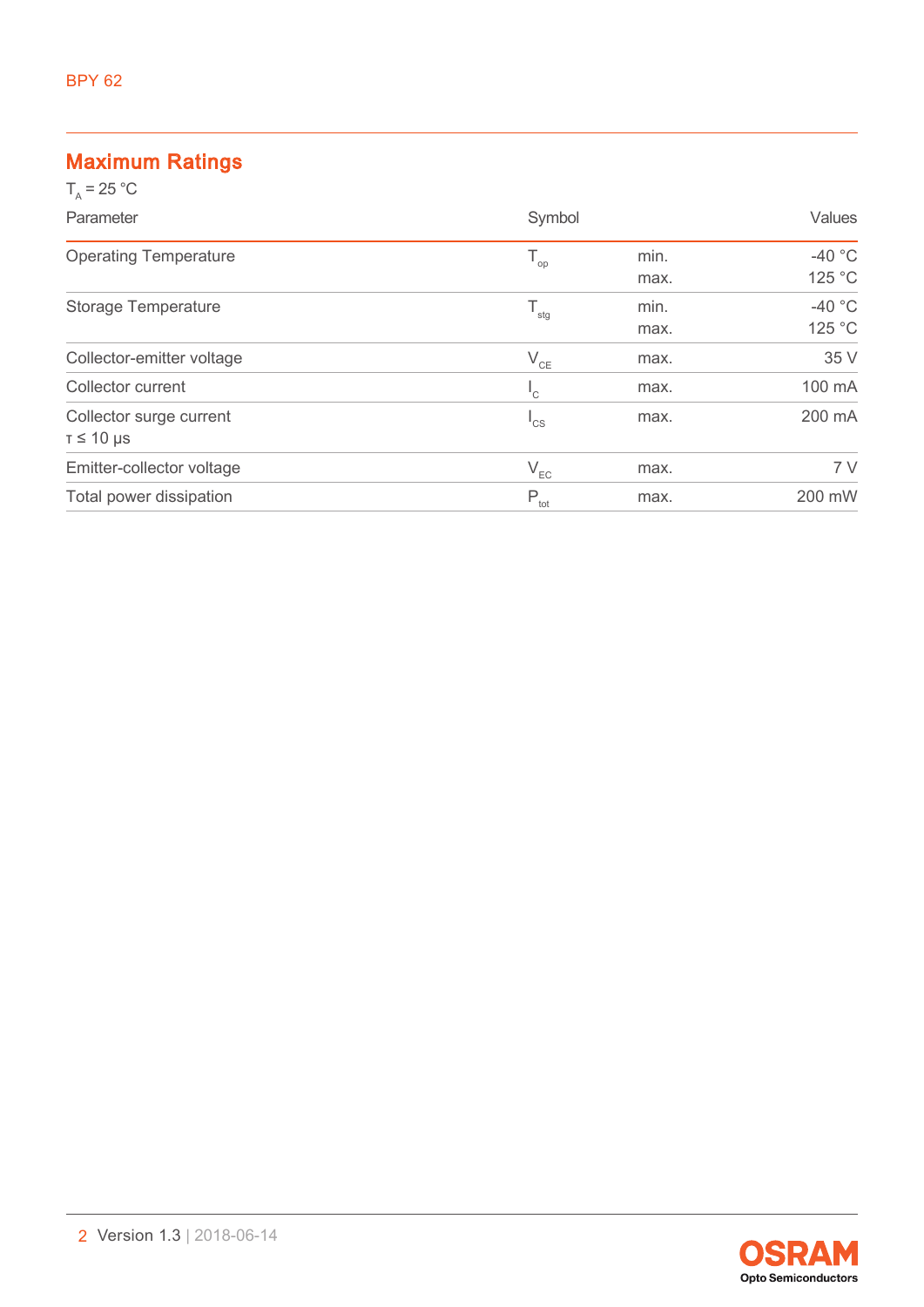## Maximum Ratings

| $T_a = 25 °C$                |                           |      |               |
|------------------------------|---------------------------|------|---------------|
| Parameter                    | Symbol                    |      | <b>Values</b> |
| <b>Operating Temperature</b> | $T_{op}$                  | min. | $-40$ °C      |
|                              |                           | max. | 125 °C        |
| <b>Storage Temperature</b>   | $\mathsf{T}_{\text{stg}}$ | min. | $-40$ °C      |
|                              |                           | max. | 125 °C        |
| Collector-emitter voltage    | $V_{CE}$                  | max. | 35 V          |
| Collector current            | $\mathsf{L}_{\mathsf{C}}$ | max. | 100 mA        |
| Collector surge current      | $I_{CS}$                  | max. | 200 mA        |
| $T \leq 10$ µs               |                           |      |               |
| Emitter-collector voltage    | $V_{EC}$                  | max. | 7V            |
| Total power dissipation      | $P_{\text{tot}}$          | max. | 200 mW        |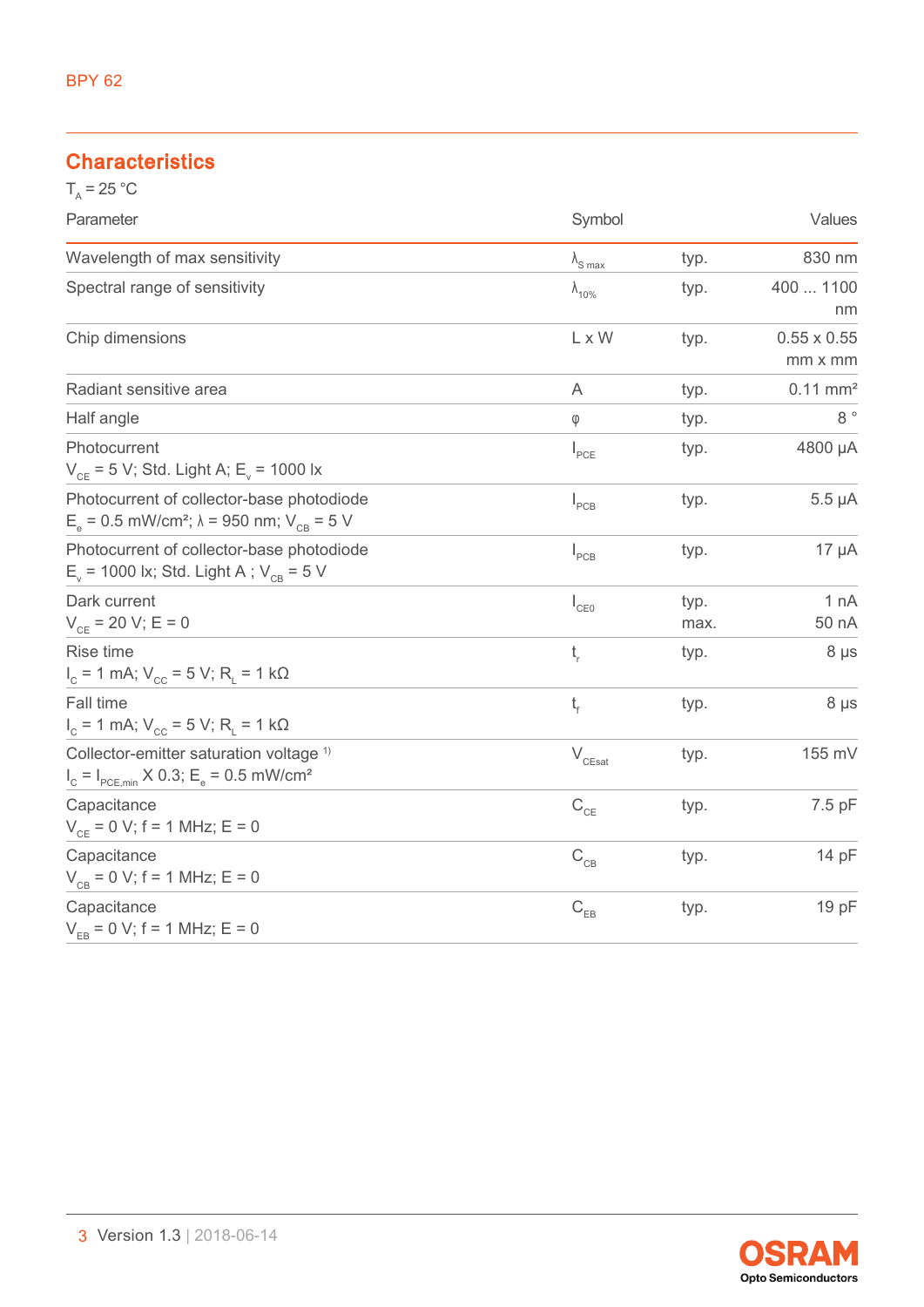## **Characteristics**

| $T_a = 25 °C$                                                                                                                  |                          |              |                               |  |
|--------------------------------------------------------------------------------------------------------------------------------|--------------------------|--------------|-------------------------------|--|
| Parameter                                                                                                                      | Symbol                   |              | Values                        |  |
| Wavelength of max sensitivity                                                                                                  | $\lambda_{\text{S max}}$ | typ.         | 830 nm                        |  |
| Spectral range of sensitivity                                                                                                  | $\lambda_{10\%}$         | typ.         | 400  1100<br>nm               |  |
| Chip dimensions                                                                                                                | L x W                    | typ.         | $0.55 \times 0.55$<br>mm x mm |  |
| Radiant sensitive area                                                                                                         | A                        | typ.         | $0.11$ mm <sup>2</sup>        |  |
| Half angle                                                                                                                     | $\phi$                   | typ.         | $8\,$ $^{\circ}$              |  |
| Photocurrent<br>$V_{CE}$ = 5 V; Std. Light A; E <sub>v</sub> = 1000 lx                                                         | $I_{PCE}$                | typ.         | 4800 µA                       |  |
| Photocurrent of collector-base photodiode<br>$E_e = 0.5$ mW/cm <sup>2</sup> ; $\lambda = 950$ nm; $V_{CB} = 5$ V               | $I_{PCB}$                | typ.         | $5.5 \mu A$                   |  |
| Photocurrent of collector-base photodiode<br>$E_v$ = 1000 lx; Std. Light A; $V_{CR}$ = 5 V                                     | $I_{PCB}$                | typ.         | $17 \mu A$                    |  |
| Dark current<br>$V_{CE}$ = 20 V; E = 0                                                                                         | $I_{CE0}$                | typ.<br>max. | 1 nA<br>50 nA                 |  |
| Rise time<br>$I_c = 1$ mA; $V_{cc} = 5$ V; R <sub>L</sub> = 1 k $\Omega$                                                       | $t_{\rm r}$              | typ.         | $8 \mu s$                     |  |
| Fall time<br>$I_c$ = 1 mA; V <sub>cc</sub> = 5 V; R <sub>i</sub> = 1 kΩ                                                        | $t_{\rm f}$              | typ.         | 8 µs                          |  |
| Collector-emitter saturation voltage <sup>1)</sup><br>$I_c = I_{PCE,min} \times 0.3$ ; E <sub>e</sub> = 0.5 mW/cm <sup>2</sup> | $\rm V_{\rm CEsat}$      | typ.         | 155 mV                        |  |
| Capacitance<br>$V_{CE} = 0 V$ ; f = 1 MHz; E = 0                                                                               | $C_{CE}$                 | typ.         | 7.5 pF                        |  |
| Capacitance<br>$V_{CB} = 0 V$ ; f = 1 MHz; E = 0                                                                               | $C_{CB}$                 | typ.         | 14 pF                         |  |
| Capacitance<br>$V_{FB} = 0 V$ ; f = 1 MHz; E = 0                                                                               | $C_{EB}$                 | typ.         | 19 pF                         |  |

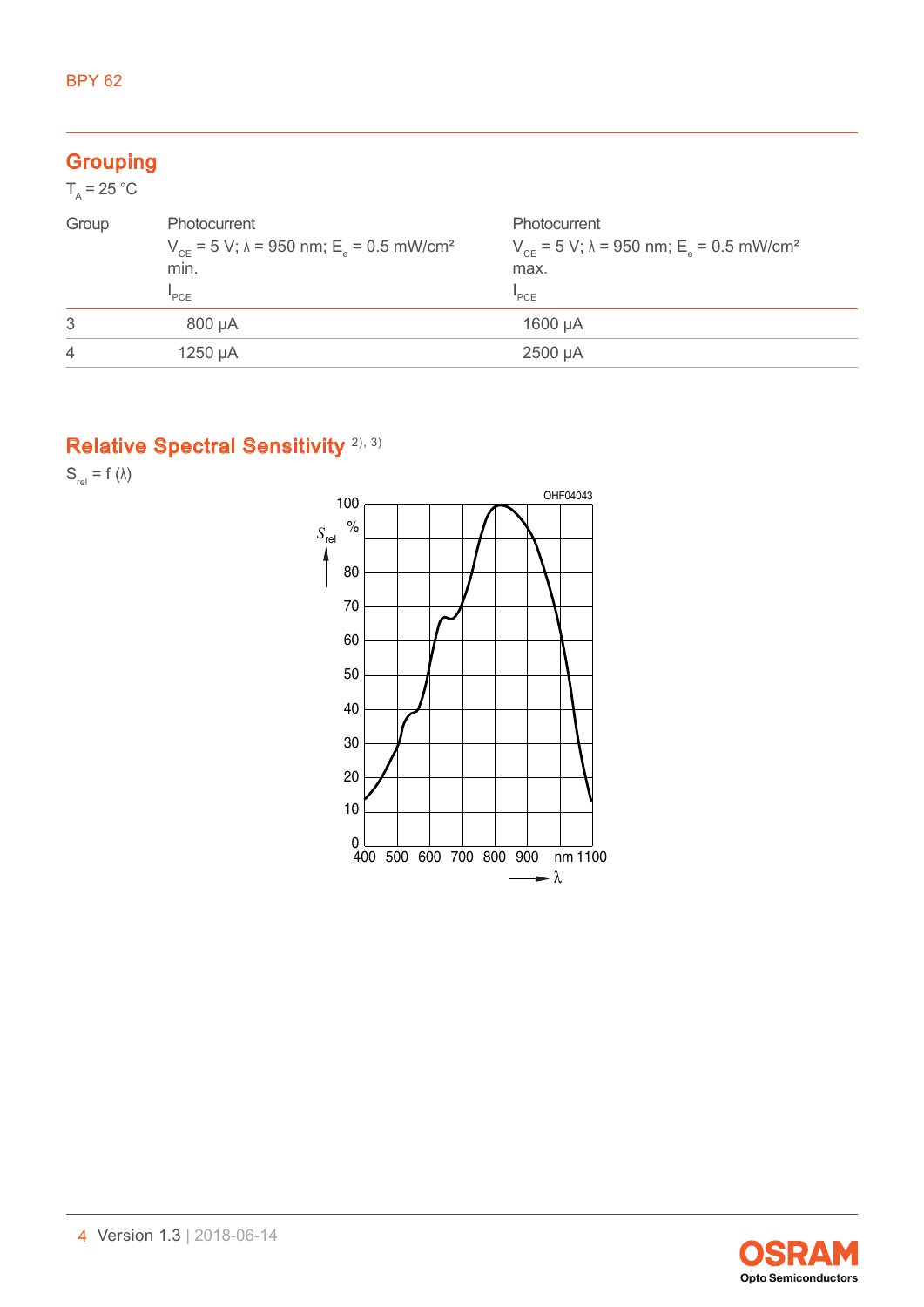#### **Grouping**  $\overline{25}$

| $1_{x} = 25$ °C |                                                                                                                    |                                                                                                             |
|-----------------|--------------------------------------------------------------------------------------------------------------------|-------------------------------------------------------------------------------------------------------------|
| Group           | <b>Photocurrent</b><br>$V_{CF}$ = 5 V; $\lambda$ = 950 nm; E <sub>o</sub> = 0.5 mW/cm <sup>2</sup><br>min.<br>"PCE | Photocurrent<br>$V_{CF}$ = 5 V; $\lambda$ = 950 nm; E <sub>e</sub> = 0.5 mW/cm <sup>2</sup><br>max.<br>"PCE |
| 3               | 800 µA                                                                                                             | 1600 µA                                                                                                     |
| 4               | 1250 µA                                                                                                            | 2500 µA                                                                                                     |
|                 |                                                                                                                    |                                                                                                             |

# Relative Spectral Sensitivity<sup>[2\)](#page-12-1), [3\)](#page-12-2)</sup>

 $S_{rel} = f (\lambda)$ 



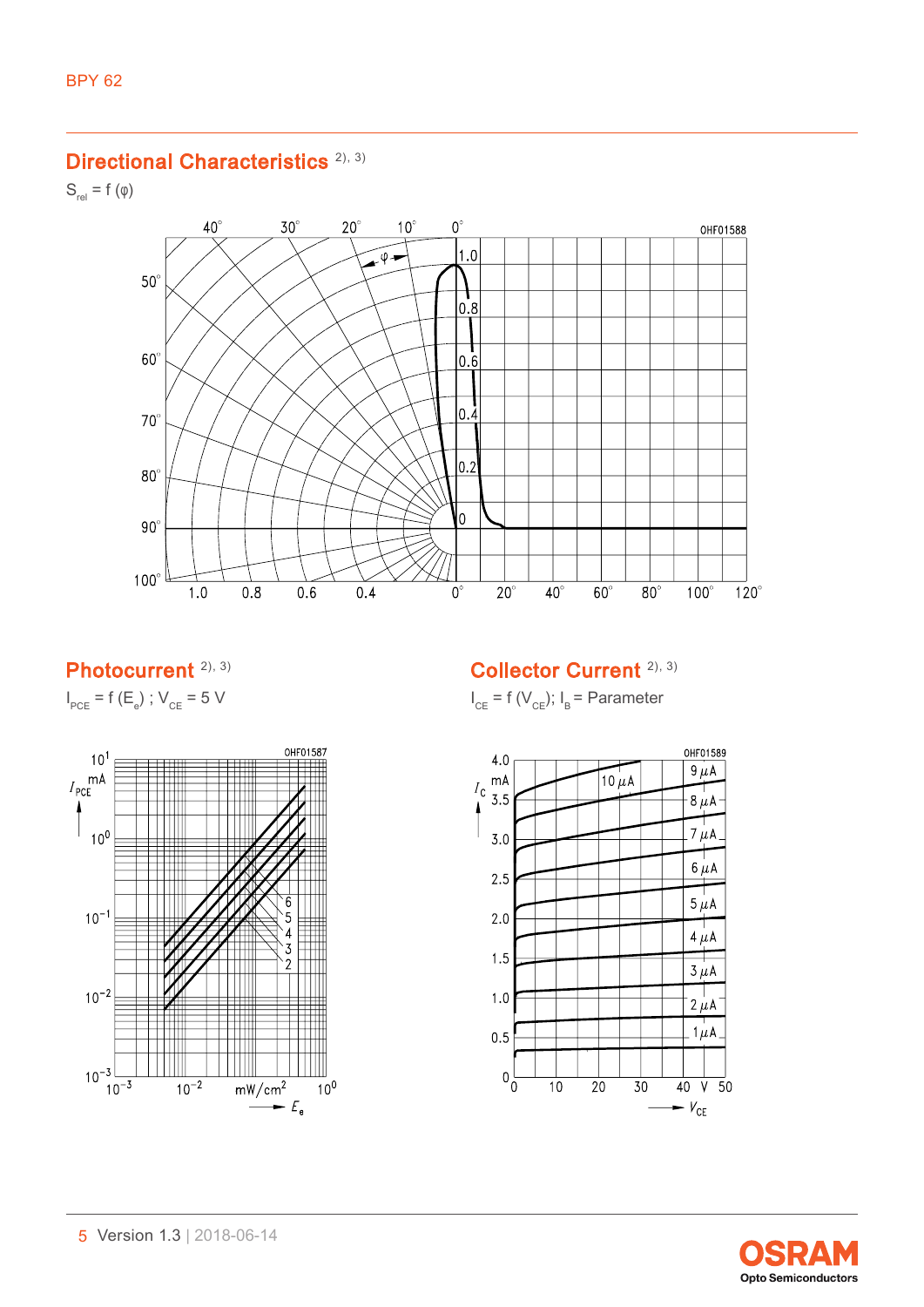### Directional Characteristics<sup>[2\),](#page-12-1) [3\)](#page-12-2)</sup>

 $S_{rel} = f(\varphi)$ 



### Photocurrent<sup>2)[, 3\)](#page-12-2)</sup>

 $I_{PCE}$  = f (E<sub>e</sub>) ;  $V_{CE}$  = 5 V



Collector Current [2\),](#page-12-1) [3\)](#page-12-2)

 $I_{CE}$  = f ( $V_{CE}$ );  $I_B$  = Parameter



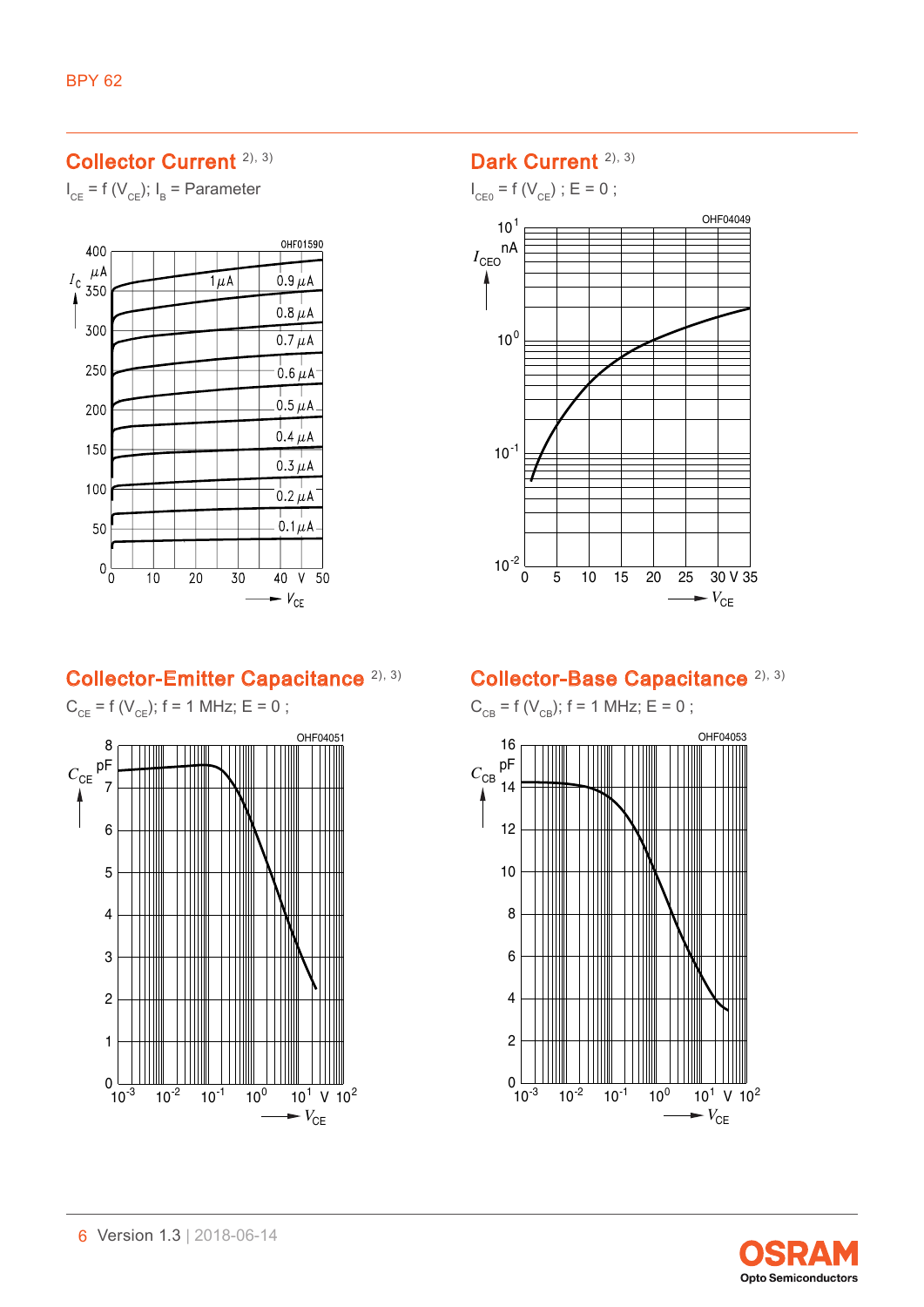### Collector Current [2\)](#page-12-1)[, 3\)](#page-12-2)

 $I_{CE}$  = f ( $V_{CE}$ );  $I_B$  = Parameter



### Dark Current<sup>[2\)](#page-12-1), [3\)](#page-12-2)</sup>

 $I_{CE0} = f(V_{CE})$ ; E = 0;



### Collector-Emitter Capacitance [2\),](#page-12-1) [3\)](#page-12-2)

 $0 \frac{\Box \Box}{10^{-3}}$  $C_{CE}$ <sup>pF</sup><sub>7</sub> OHF04051  $\rightarrow$   $V_{\text{CE}}$  $10^{-2}$  10<sup>-1</sup> 10<sup>0</sup> 10<sup>1</sup> V 10<sup>2</sup> 1 2 3 4 5 6 8  $C_{CE}$  = f ( $V_{CE}$ ); f = 1 MHz; E = 0 ;

### Collector-Base Capacitance [2\)](#page-12-1), [3\)](#page-12-2)

 $C_{CB} = f(V_{CB})$ ; f = 1 MHz; E = 0 ;



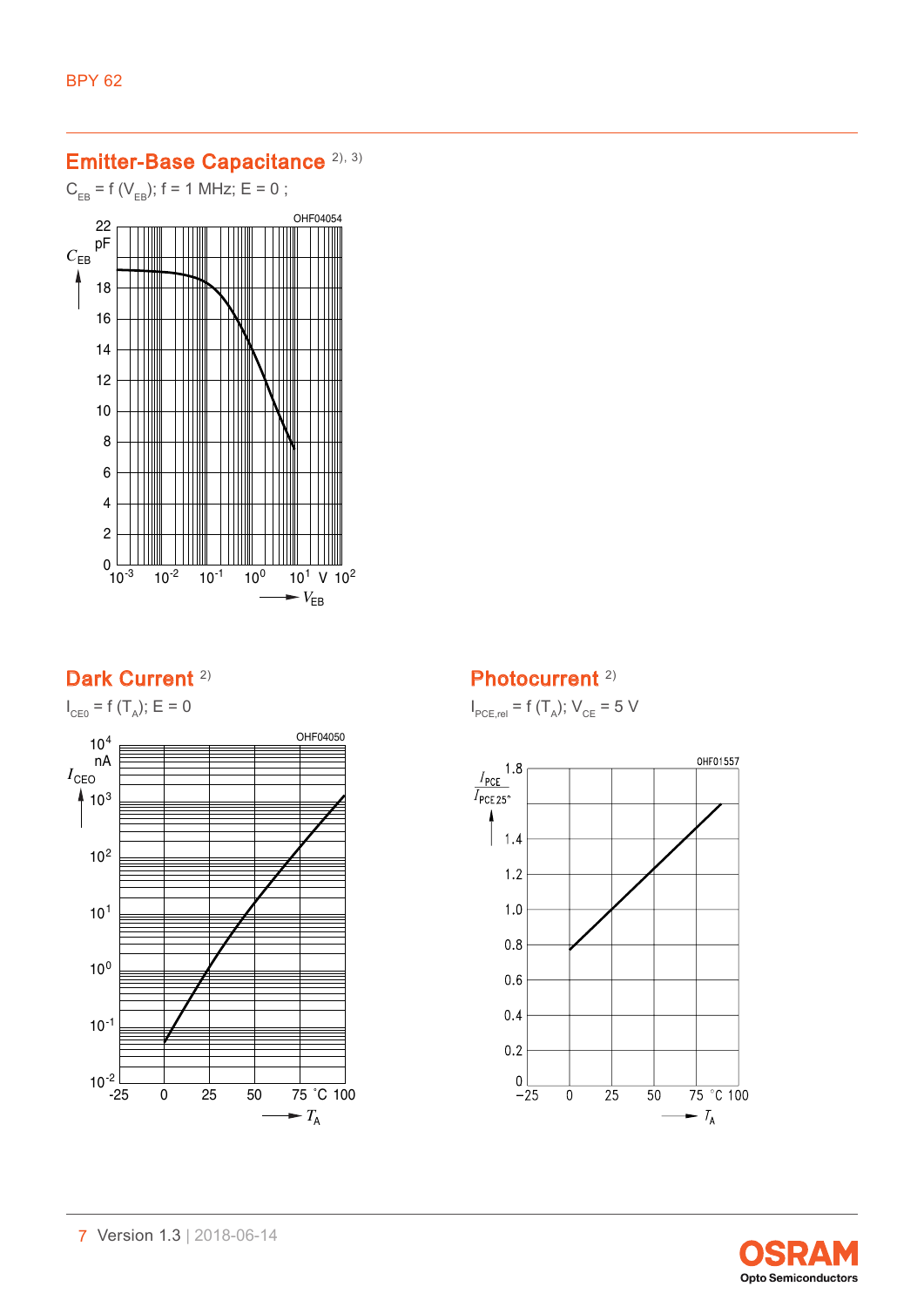# Emitter-Base Capacitance [2\),](#page-12-1) [3\)](#page-12-2)

 $C_{EB} = f(V_{EB})$ ; f = 1 MHz; E = 0 ;



## Dark Current<sup>[2\)](#page-12-1)</sup>



Photocurrent<sup>[2\)](#page-12-1)</sup>

 $I_{\text{PCE,rel}} = f(T_A); V_{\text{CE}} = 5 V$ 



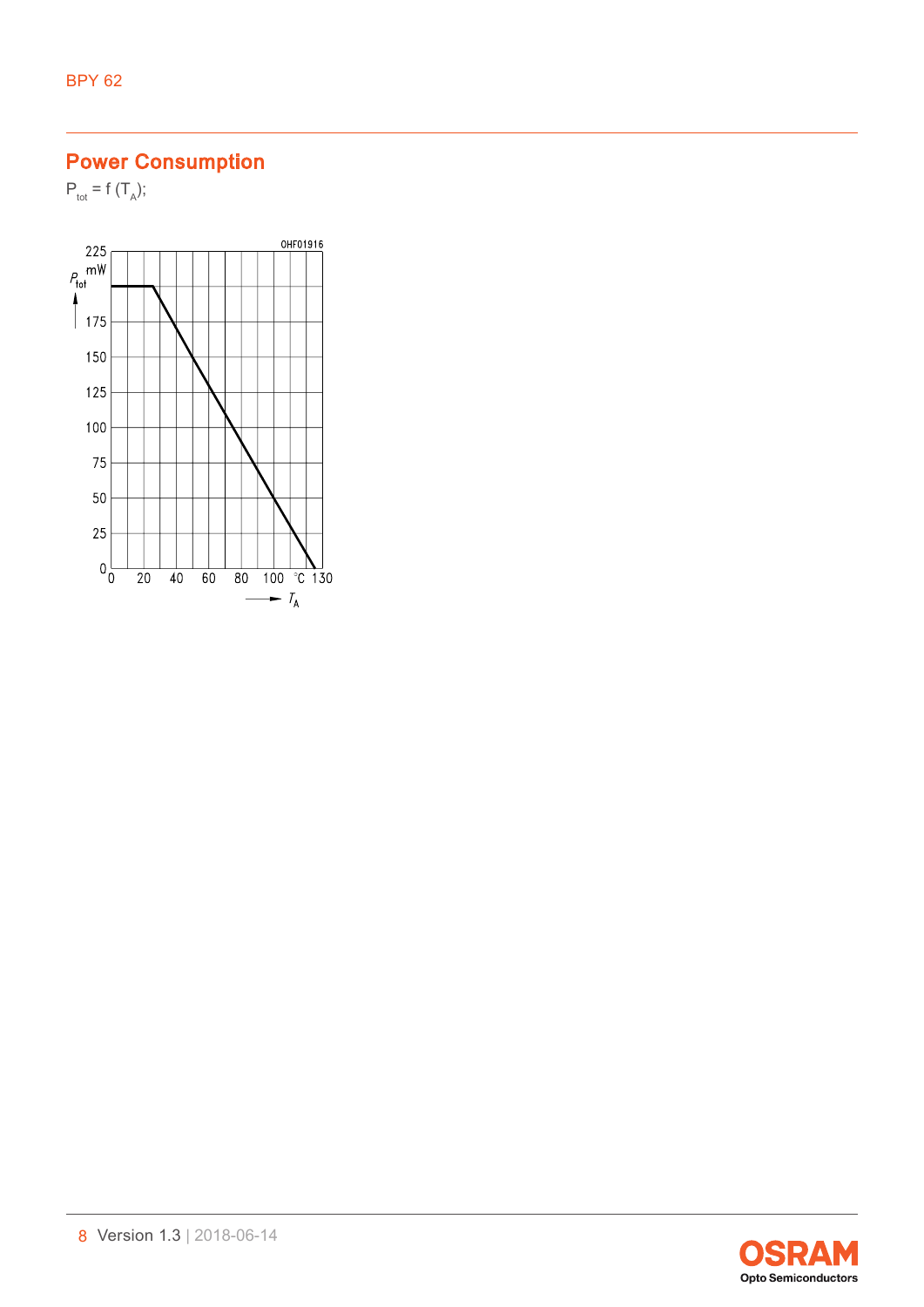# Power Consumption

 $P_{\text{tot}} = f(T_A);$ 



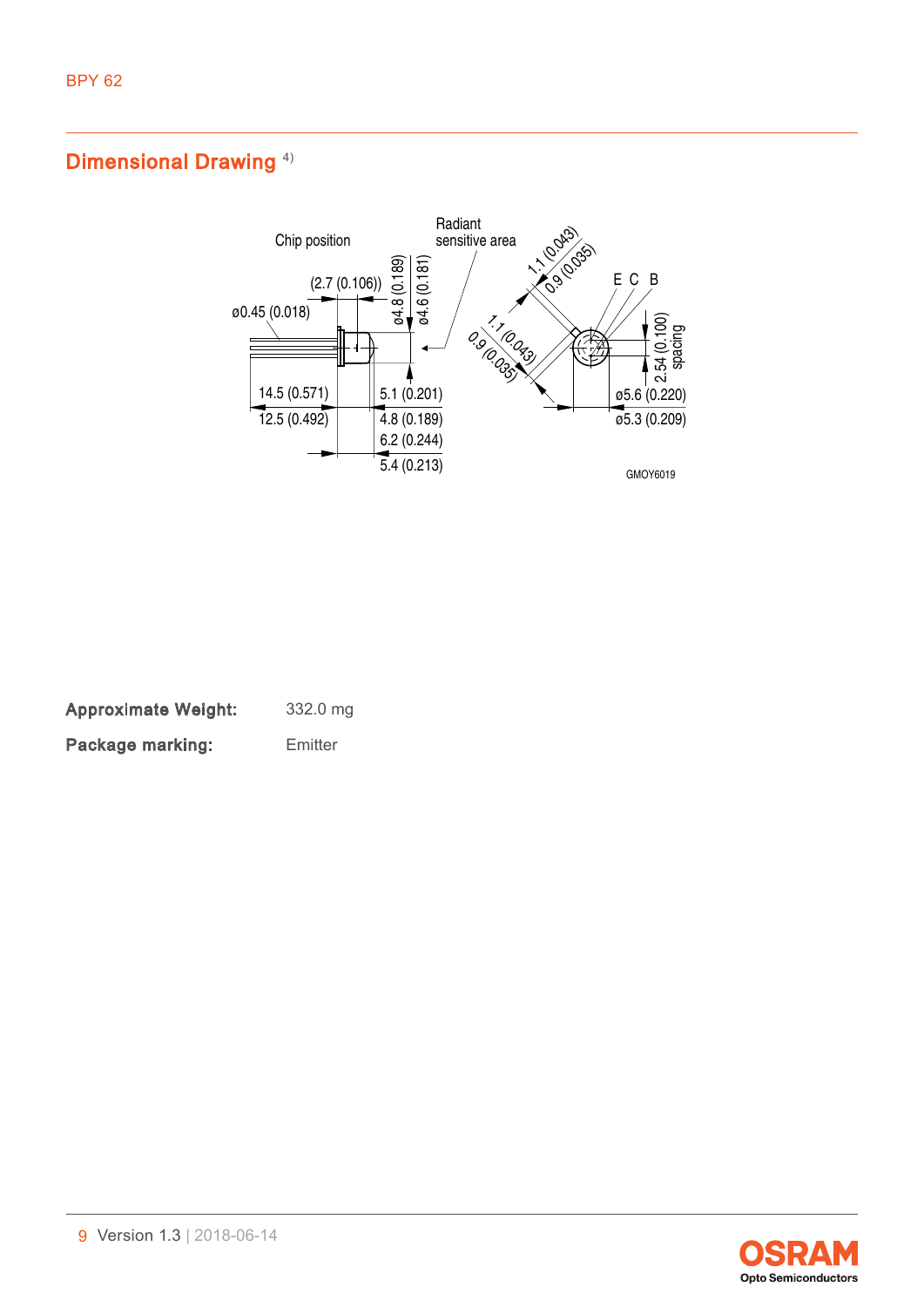## Dimensional Drawing<sup>4)</sup>



Approximate Weight: 332.0 mg Package marking: Emitter

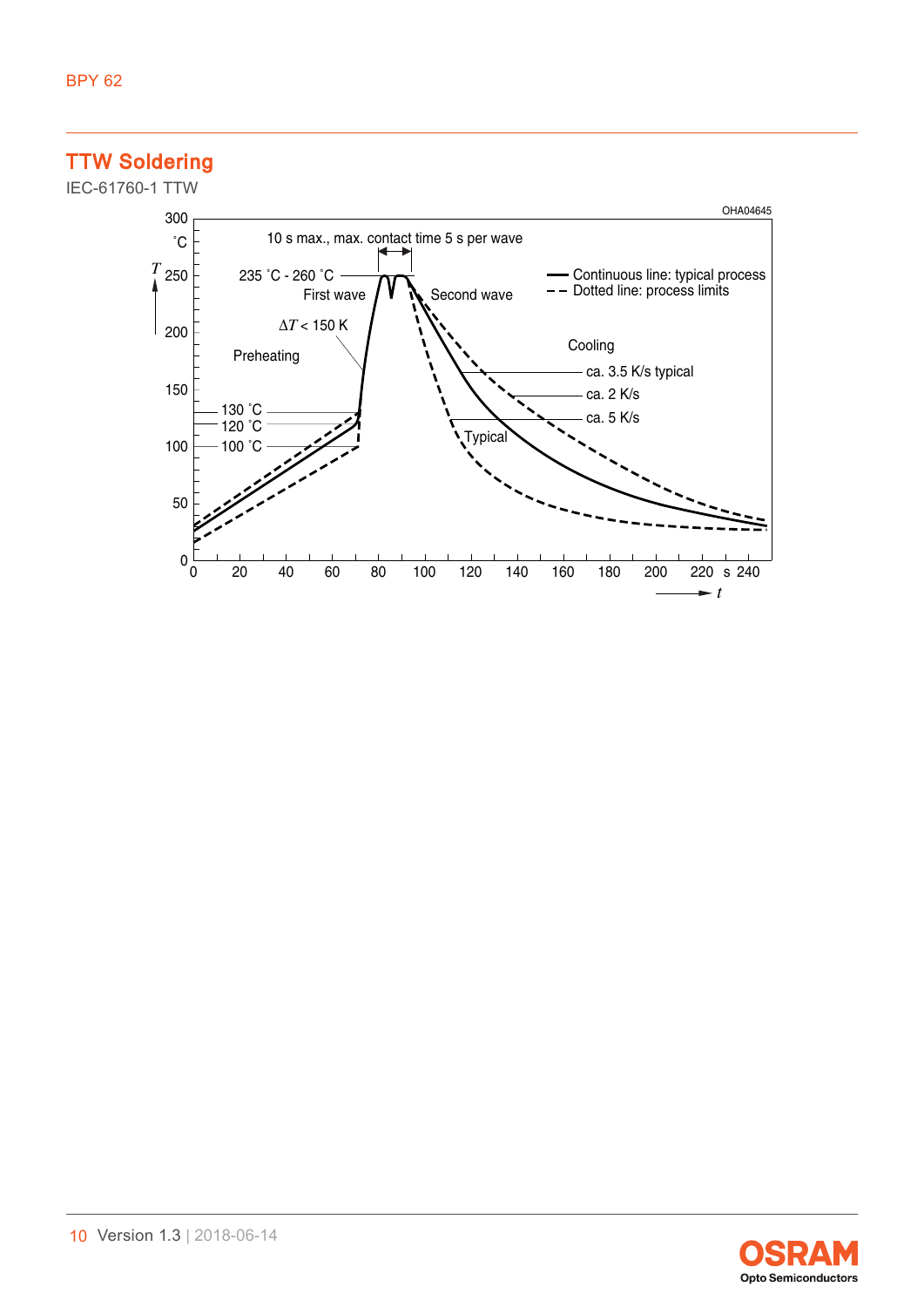## TTW Soldering





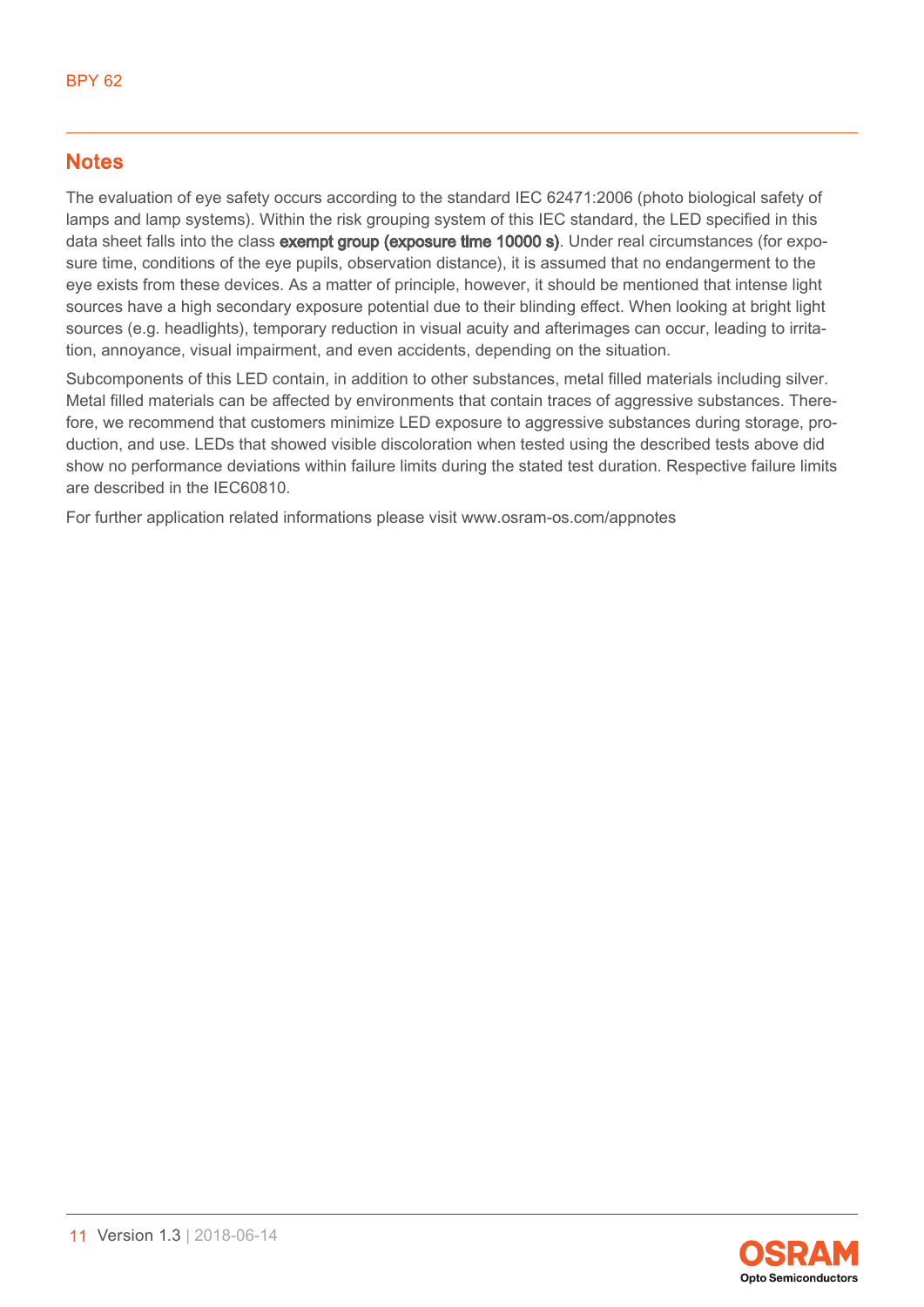### **Notes**

The evaluation of eye safety occurs according to the standard IEC 62471:2006 (photo biological safety of lamps and lamp systems). Within the risk grouping system of this IEC standard, the LED specified in this data sheet falls into the class **exempt group (exposure time 10000 s)**. Under real circumstances (for exposure time, conditions of the eye pupils, observation distance), it is assumed that no endangerment to the eye exists from these devices. As a matter of principle, however, it should be mentioned that intense light sources have a high secondary exposure potential due to their blinding effect. When looking at bright light sources (e.g. headlights), temporary reduction in visual acuity and afterimages can occur, leading to irritation, annoyance, visual impairment, and even accidents, depending on the situation.

Subcomponents of this LED contain, in addition to other substances, metal filled materials including silver. Metal filled materials can be affected by environments that contain traces of aggressive substances. Therefore, we recommend that customers minimize LED exposure to aggressive substances during storage, production, and use. LEDs that showed visible discoloration when tested using the described tests above did show no performance deviations within failure limits during the stated test duration. Respective failure limits are described in the IEC60810.

For further application related informations please visit www.osram-os.com/appnotes

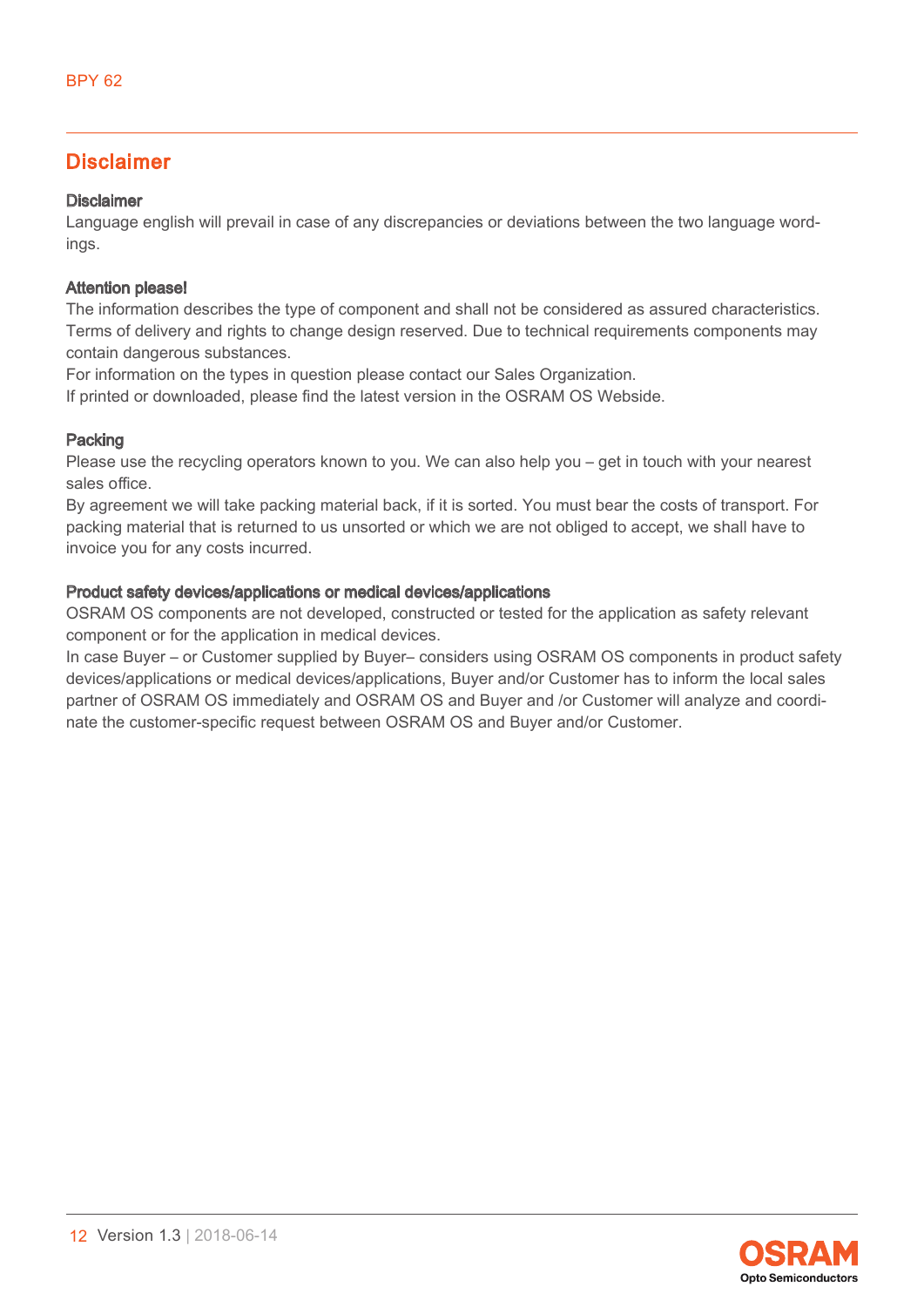### Disclaimer

### Disclaimer

Language english will prevail in case of any discrepancies or deviations between the two language wordings.

### Attention please!

The information describes the type of component and shall not be considered as assured characteristics. Terms of delivery and rights to change design reserved. Due to technical requirements components may contain dangerous substances.

For information on the types in question please contact our Sales Organization.

If printed or downloaded, please find the latest version in the OSRAM OS Webside.

#### Packing

Please use the recycling operators known to you. We can also help you – get in touch with your nearest sales office.

By agreement we will take packing material back, if it is sorted. You must bear the costs of transport. For packing material that is returned to us unsorted or which we are not obliged to accept, we shall have to invoice you for any costs incurred.

#### Product safety devices/applications or medical devices/applications

OSRAM OS components are not developed, constructed or tested for the application as safety relevant component or for the application in medical devices.

In case Buyer – or Customer supplied by Buyer– considers using OSRAM OS components in product safety devices/applications or medical devices/applications, Buyer and/or Customer has to inform the local sales partner of OSRAM OS immediately and OSRAM OS and Buyer and /or Customer will analyze and coordinate the customer-specific request between OSRAM OS and Buyer and/or Customer.

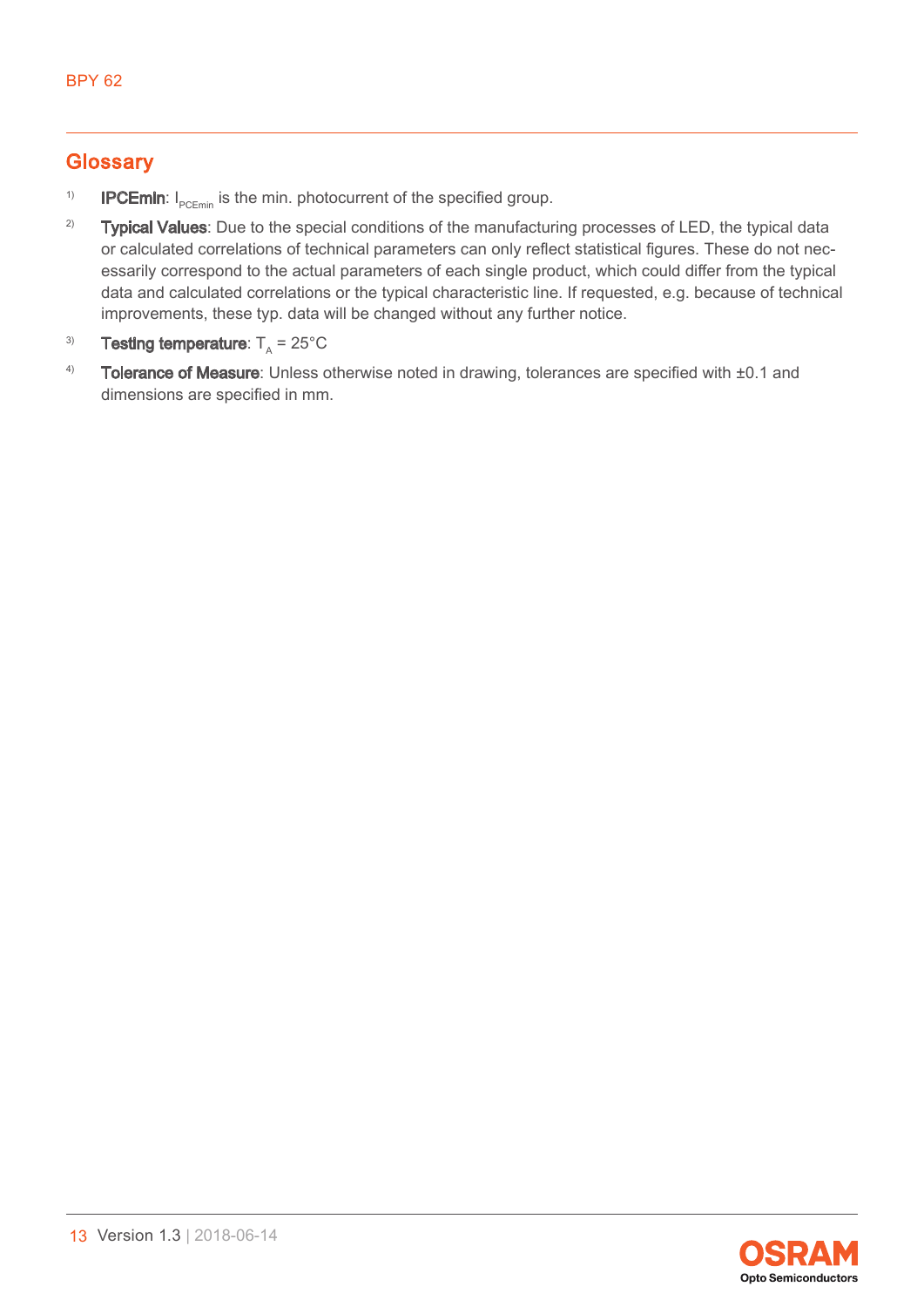## **Glossary**

- <span id="page-12-0"></span><sup>1)</sup> **IPCEmin**:  $I_{\text{pCEmin}}$  is the min. photocurrent of the specified group.
- <span id="page-12-1"></span><sup>2)</sup> Typical Values: Due to the special conditions of the manufacturing processes of LED, the typical data or calculated correlations of technical parameters can only reflect statistical figures. These do not necessarily correspond to the actual parameters of each single product, which could differ from the typical data and calculated correlations or the typical characteristic line. If requested, e.g. because of technical improvements, these typ. data will be changed without any further notice.
- <span id="page-12-2"></span><sup>3)</sup> **Testing temperature**:  $T_A = 25^{\circ} \text{C}$
- <span id="page-12-3"></span>4) Tolerance of Measure: Unless otherwise noted in drawing, tolerances are specified with  $\pm 0.1$  and dimensions are specified in mm.